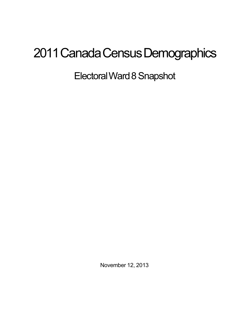## 2011 Canada Census Demographics

ElectoralWard8Snapshot

November 12, 2013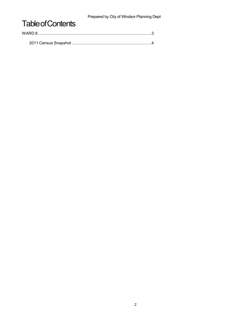Prepared by City of Windsor Planning Dept

## **Table of Contents**

| WARD 8 |  |  |
|--------|--|--|
|        |  |  |
|        |  |  |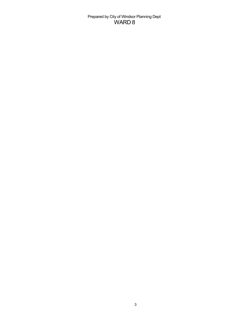Prepared by City of Windsor Planning Dept WARD 8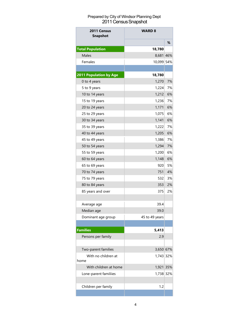## Prepared by City of Windsor Planning Dept 2011 Census Snapshot

| 2011 Census<br><b>Snapshot</b> | <b>WARD 8</b>  |     |  |
|--------------------------------|----------------|-----|--|
|                                |                | %   |  |
| <b>Total Population</b>        | 18,780         |     |  |
| <b>Males</b>                   | 8,681 46%      |     |  |
| Females                        | 10,099 54%     |     |  |
|                                |                |     |  |
| 2011 Population by Age         | 18,780         |     |  |
| 0 to 4 years                   | 1,270          | 7%  |  |
| 5 to 9 years                   | 1,224          | 7%  |  |
| 10 to 14 years                 | 1,212          | 6%  |  |
| 15 to 19 years                 | 1,236          | 7%  |  |
| 20 to 24 years                 | 1,171          | 6%  |  |
| 25 to 29 years                 | 1,075          | 6%  |  |
| 30 to 34 years                 | 1,141          | 6%  |  |
| 35 to 39 years                 | 1,222          | 7%  |  |
| 40 to 44 years                 | 1,205          | 6%  |  |
| 45 to 49 years                 | 1,386          | 7%  |  |
| 50 to 54 years                 | 1,294          | 7%  |  |
| 55 to 59 years                 | 1,200          | 6%  |  |
| 60 to 64 years                 | 1,148          | 6%  |  |
| 65 to 69 years                 | 920            | 5%  |  |
| 70 to 74 years                 | 751            | 4%  |  |
| 75 to 79 years                 | 532            | 3%  |  |
| 80 to 84 years                 | 353            | 2%  |  |
| 85 years and over              | 375            | 2%  |  |
| Average age                    | 39.4           |     |  |
| Median age                     | 39.0           |     |  |
| Dominant age group             | 45 to 49 years |     |  |
|                                |                |     |  |
| <b>Families</b>                | 5,413          |     |  |
| Persons per family             | 2.9            |     |  |
|                                |                |     |  |
| Two-parent families            | 3,650 67%      |     |  |
| With no children at<br>home    | 1,743 32%      |     |  |
| With children at home          | 1,921          | 35% |  |
| Lone-parent familiies          | 1,738 32%      |     |  |
| Children per family            | 1.2            |     |  |